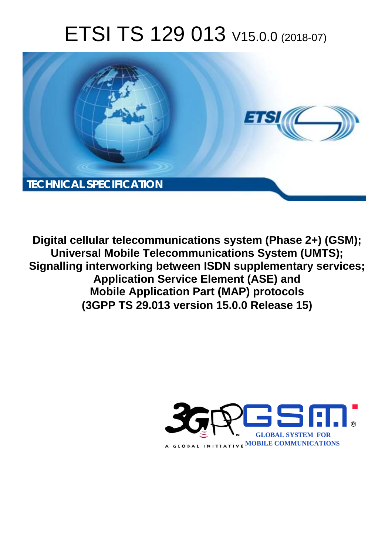# ETSI TS 129 013 V15.0.0 (2018-07)



**Digital cellular telecommunications system (Phase 2+) (GSM); Universal Mobile Telecommunications System (UMTS); Signalling interworking between ISDN supplementary services; Application Service Element (ASE) and Mobile Application Part (MAP) protocols (3GPP TS 29.013 version 15.0.0 Release 15)** 

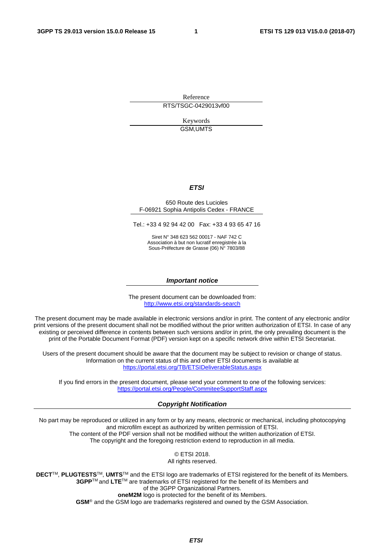Reference RTS/TSGC-0429013vf00

> Keywords GSM,UMTS

#### *ETSI*

#### 650 Route des Lucioles F-06921 Sophia Antipolis Cedex - FRANCE

Tel.: +33 4 92 94 42 00 Fax: +33 4 93 65 47 16

Siret N° 348 623 562 00017 - NAF 742 C Association à but non lucratif enregistrée à la Sous-Préfecture de Grasse (06) N° 7803/88

#### *Important notice*

The present document can be downloaded from: <http://www.etsi.org/standards-search>

The present document may be made available in electronic versions and/or in print. The content of any electronic and/or print versions of the present document shall not be modified without the prior written authorization of ETSI. In case of any existing or perceived difference in contents between such versions and/or in print, the only prevailing document is the print of the Portable Document Format (PDF) version kept on a specific network drive within ETSI Secretariat.

Users of the present document should be aware that the document may be subject to revision or change of status. Information on the current status of this and other ETSI documents is available at <https://portal.etsi.org/TB/ETSIDeliverableStatus.aspx>

If you find errors in the present document, please send your comment to one of the following services: <https://portal.etsi.org/People/CommiteeSupportStaff.aspx>

#### *Copyright Notification*

No part may be reproduced or utilized in any form or by any means, electronic or mechanical, including photocopying and microfilm except as authorized by written permission of ETSI. The content of the PDF version shall not be modified without the written authorization of ETSI. The copyright and the foregoing restriction extend to reproduction in all media.

> © ETSI 2018. All rights reserved.

**DECT**TM, **PLUGTESTS**TM, **UMTS**TM and the ETSI logo are trademarks of ETSI registered for the benefit of its Members. **3GPP**TM and **LTE**TM are trademarks of ETSI registered for the benefit of its Members and of the 3GPP Organizational Partners. **oneM2M** logo is protected for the benefit of its Members.

**GSM**® and the GSM logo are trademarks registered and owned by the GSM Association.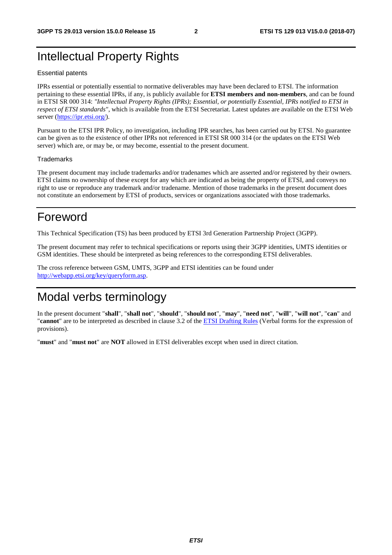# Intellectual Property Rights

#### Essential patents

IPRs essential or potentially essential to normative deliverables may have been declared to ETSI. The information pertaining to these essential IPRs, if any, is publicly available for **ETSI members and non-members**, and can be found in ETSI SR 000 314: *"Intellectual Property Rights (IPRs); Essential, or potentially Essential, IPRs notified to ETSI in respect of ETSI standards"*, which is available from the ETSI Secretariat. Latest updates are available on the ETSI Web server ([https://ipr.etsi.org/\)](https://ipr.etsi.org/).

Pursuant to the ETSI IPR Policy, no investigation, including IPR searches, has been carried out by ETSI. No guarantee can be given as to the existence of other IPRs not referenced in ETSI SR 000 314 (or the updates on the ETSI Web server) which are, or may be, or may become, essential to the present document.

#### **Trademarks**

The present document may include trademarks and/or tradenames which are asserted and/or registered by their owners. ETSI claims no ownership of these except for any which are indicated as being the property of ETSI, and conveys no right to use or reproduce any trademark and/or tradename. Mention of those trademarks in the present document does not constitute an endorsement by ETSI of products, services or organizations associated with those trademarks.

# Foreword

This Technical Specification (TS) has been produced by ETSI 3rd Generation Partnership Project (3GPP).

The present document may refer to technical specifications or reports using their 3GPP identities, UMTS identities or GSM identities. These should be interpreted as being references to the corresponding ETSI deliverables.

The cross reference between GSM, UMTS, 3GPP and ETSI identities can be found under [http://webapp.etsi.org/key/queryform.asp.](http://webapp.etsi.org/key/queryform.asp)

# Modal verbs terminology

In the present document "**shall**", "**shall not**", "**should**", "**should not**", "**may**", "**need not**", "**will**", "**will not**", "**can**" and "**cannot**" are to be interpreted as described in clause 3.2 of the [ETSI Drafting Rules](https://portal.etsi.org/Services/editHelp!/Howtostart/ETSIDraftingRules.aspx) (Verbal forms for the expression of provisions).

"**must**" and "**must not**" are **NOT** allowed in ETSI deliverables except when used in direct citation.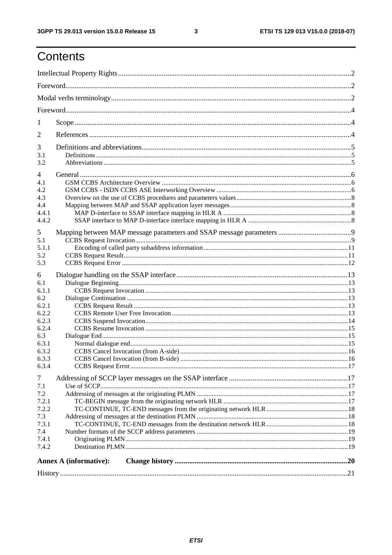$\mathbf{3}$ 

# Contents

| 1                                          |                               |  |
|--------------------------------------------|-------------------------------|--|
| 2                                          |                               |  |
| 3<br>3.1<br>3.2                            |                               |  |
| $\overline{4}$<br>4.1<br>4.2<br>4.3<br>4.4 |                               |  |
| 4.4.1<br>4.4.2                             |                               |  |
| 5<br>5.1<br>5.1.1<br>5.2<br>5.3            |                               |  |
| 6                                          |                               |  |
| 6.1<br>6.1.1<br>6.2                        |                               |  |
| 6.2.1<br>6.2.2<br>6.2.3                    |                               |  |
| 6.2.4<br>6.3<br>6.3.1                      |                               |  |
| 6.3.2<br>6.3.3<br>6.3.4                    |                               |  |
| 7<br>7.1<br>7.2                            |                               |  |
| 7.2.1<br>7.2.2<br>7.3                      |                               |  |
| 7.3.1<br>7.4<br>7.4.1                      |                               |  |
| 7.4.2                                      |                               |  |
|                                            | <b>Annex A (informative):</b> |  |
|                                            |                               |  |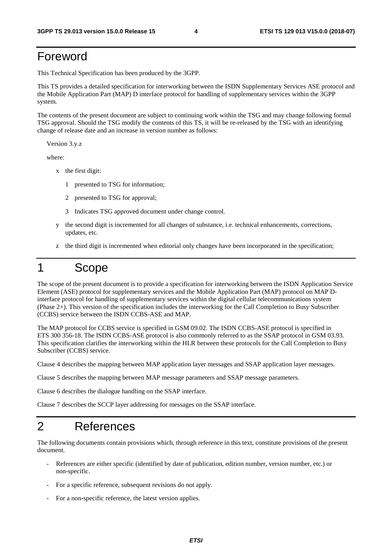# Foreword

This Technical Specification has been produced by the 3GPP.

This TS provides a detailed specification for interworking between the ISDN Supplementary Services ASE protocol and the Mobile Application Part (MAP) D interface protocol for handling of supplementary services within the 3GPP system.

The contents of the present document are subject to continuing work within the TSG and may change following formal TSG approval. Should the TSG modify the contents of this TS, it will be re-released by the TSG with an identifying change of release date and an increase in version number as follows:

Version 3.y.z

where:

- x the first digit:
	- 1 presented to TSG for information;
	- 2 presented to TSG for approval;
	- 3 Indicates TSG approved document under change control.
- y the second digit is incremented for all changes of substance, i.e. technical enhancements, corrections, updates, etc.
- z the third digit is incremented when editorial only changes have been incorporated in the specification;

# 1 Scope

The scope of the present document is to provide a specification for interworking between the ISDN Application Service Element (ASE) protocol for supplementary services and the Mobile Application Part (MAP) protocol on MAP Dinterface protocol for handling of supplementary services within the digital cellular telecommunications system (Phase 2+). This version of the specification includes the interworking for the Call Completion to Busy Subscriber (CCBS) service between the ISDN CCBS-ASE and MAP.

The MAP protocol for CCBS service is specified in GSM 09.02. The ISDN CCBS-ASE protocol is specified in ETS 300 356-18. The ISDN CCBS-ASE protocol is also commonly referred to as the SSAP protocol in GSM 03.93. This specification clarifies the interworking within the HLR between these protocols for the Call Completion to Busy Subscriber (CCBS) service.

Clause 4 describes the mapping between MAP application layer messages and SSAP application layer messages.

Clause 5 describes the mapping between MAP message parameters and SSAP message parameters.

Clause 6 describes the dialogue handling on the SSAP interface.

Clause 7 describes the SCCP layer addressing for messages on the SSAP interface.

### 2 References

The following documents contain provisions which, through reference in this text, constitute provisions of the present document.

- References are either specific (identified by date of publication, edition number, version number, etc.) or non-specific.
- For a specific reference, subsequent revisions do not apply.
- For a non-specific reference, the latest version applies.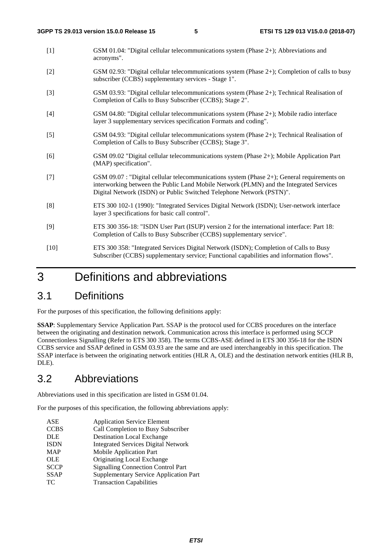- [1] GSM 01.04: "Digital cellular telecommunications system (Phase 2+); Abbreviations and acronyms".
- [2] GSM 02.93: "Digital cellular telecommunications system (Phase 2+); Completion of calls to busy subscriber (CCBS) supplementary services - Stage 1".
- [3] GSM 03.93: "Digital cellular telecommunications system (Phase 2+); Technical Realisation of Completion of Calls to Busy Subscriber (CCBS); Stage 2".
- [4] GSM 04.80: "Digital cellular telecommunications system (Phase 2+); Mobile radio interface layer 3 supplementary services specification Formats and coding".
- [5] GSM 04.93: "Digital cellular telecommunications system (Phase 2+); Technical Realisation of Completion of Calls to Busy Subscriber (CCBS); Stage 3".
- [6] GSM 09.02 "Digital cellular telecommunications system (Phase 2+); Mobile Application Part (MAP) specification".
- [7] GSM 09.07 : "Digital cellular telecommunications system (Phase 2+); General requirements on interworking between the Public Land Mobile Network (PLMN) and the Integrated Services Digital Network (ISDN) or Public Switched Telephone Network (PSTN)".
- [8] ETS 300 102-1 (1990): "Integrated Services Digital Network (ISDN); User-network interface layer 3 specifications for basic call control".
- [9] ETS 300 356-18: "ISDN User Part (ISUP) version 2 for the international interface: Part 18: Completion of Calls to Busy Subscriber (CCBS) supplementary service".
- [10] ETS 300 358: "Integrated Services Digital Network (ISDN); Completion of Calls to Busy Subscriber (CCBS) supplementary service; Functional capabilities and information flows".

# 3 Definitions and abbreviations

### 3.1 Definitions

For the purposes of this specification, the following definitions apply:

**SSAP**: Supplementary Service Application Part. SSAP is the protocol used for CCBS procedures on the interface between the originating and destination network. Communication across this interface is performed using SCCP Connectionless Signalling (Refer to ETS 300 358). The terms CCBS-ASE defined in ETS 300 356-18 for the ISDN CCBS service and SSAP defined in GSM 03.93 are the same and are used interchangeably in this specification. The SSAP interface is between the originating network entities (HLR A, OLE) and the destination network entities (HLR B, DLE).

### 3.2 Abbreviations

Abbreviations used in this specification are listed in GSM 01.04.

For the purposes of this specification, the following abbreviations apply:

ASE Application Service Element CCBS Call Completion to Busy Subscriber DLE Destination Local Exchange<br>
ISDN Integrated Services Digital N Integrated Services Digital Network MAP Mobile Application Part OLE Originating Local Exchange<br>SCCP Signalling Connection Contr Signalling Connection Control Part SSAP Supplementary Service Application Part TC Transaction Capabilities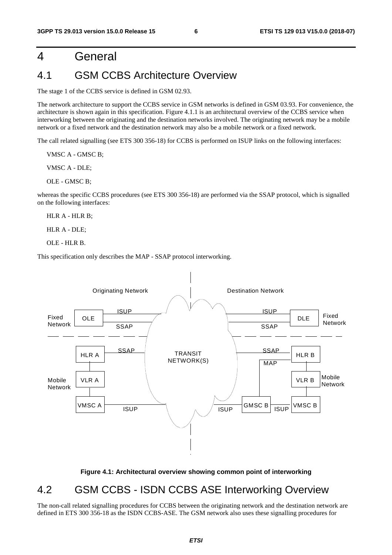# 4 General

### 4.1 GSM CCBS Architecture Overview

The stage 1 of the CCBS service is defined in GSM 02.93.

The network architecture to support the CCBS service in GSM networks is defined in GSM 03.93. For convenience, the architecture is shown again in this specification. Figure 4.1.1 is an architectural overview of the CCBS service when interworking between the originating and the destination networks involved. The originating network may be a mobile network or a fixed network and the destination network may also be a mobile network or a fixed network.

The call related signalling (see ETS 300 356-18) for CCBS is performed on ISUP links on the following interfaces:

VMSC A - GMSC B;

VMSC A - DLE;

OLE - GMSC B;

whereas the specific CCBS procedures (see ETS 300 356-18) are performed via the SSAP protocol, which is signalled on the following interfaces:

HLR A - HLR B;

HLR A - DLE;

OLE - HLR B.

This specification only describes the MAP - SSAP protocol interworking.



#### **Figure 4.1: Architectural overview showing common point of interworking**

### 4.2 GSM CCBS - ISDN CCBS ASE Interworking Overview

The non-call related signalling procedures for CCBS between the originating network and the destination network are defined in ETS 300 356-18 as the ISDN CCBS-ASE. The GSM network also uses these signalling procedures for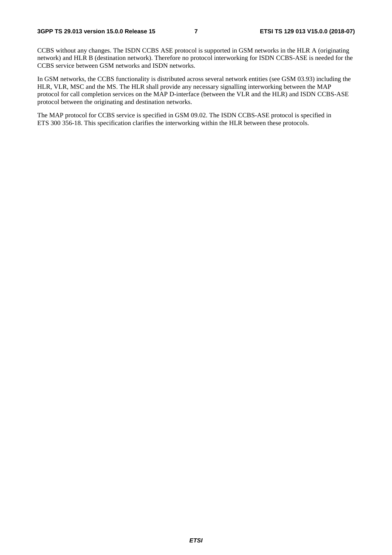CCBS without any changes. The ISDN CCBS ASE protocol is supported in GSM networks in the HLR A (originating network) and HLR B (destination network). Therefore no protocol interworking for ISDN CCBS-ASE is needed for the CCBS service between GSM networks and ISDN networks.

In GSM networks, the CCBS functionality is distributed across several network entities (see GSM 03.93) including the HLR, VLR, MSC and the MS. The HLR shall provide any necessary signalling interworking between the MAP protocol for call completion services on the MAP D-interface (between the VLR and the HLR) and ISDN CCBS-ASE protocol between the originating and destination networks.

The MAP protocol for CCBS service is specified in GSM 09.02. The ISDN CCBS-ASE protocol is specified in ETS 300 356-18. This specification clarifies the interworking within the HLR between these protocols.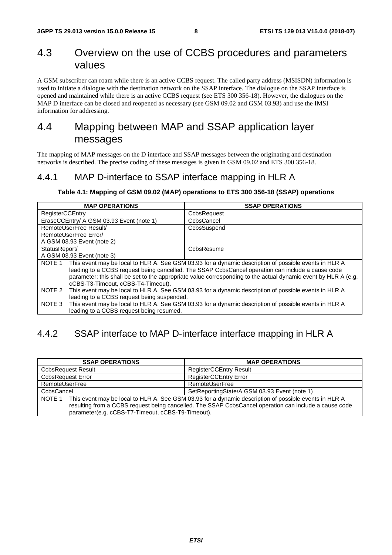## 4.3 Overview on the use of CCBS procedures and parameters values

A GSM subscriber can roam while there is an active CCBS request. The called party address (MSISDN) information is used to initiate a dialogue with the destination network on the SSAP interface. The dialogue on the SSAP interface is opened and maintained while there is an active CCBS request (see ETS 300 356-18). However, the dialogues on the MAP D interface can be closed and reopened as necessary (see GSM 09.02 and GSM 03.93) and use the IMSI information for addressing.

# 4.4 Mapping between MAP and SSAP application layer messages

The mapping of MAP messages on the D interface and SSAP messages between the originating and destination networks is described. The precise coding of these messages is given in GSM 09.02 and ETS 300 356-18.

### 4.4.1 MAP D-interface to SSAP interface mapping in HLR A

#### **Table 4.1: Mapping of GSM 09.02 (MAP) operations to ETS 300 356-18 (SSAP) operations**

| <b>MAP OPERATIONS</b>                                                                                           | <b>SSAP OPERATIONS</b>                                                                                |
|-----------------------------------------------------------------------------------------------------------------|-------------------------------------------------------------------------------------------------------|
| RegisterCCEntry                                                                                                 | CcbsRequest                                                                                           |
| EraseCCEntry/ A GSM 03.93 Event (note 1)                                                                        | CcbsCancel                                                                                            |
| RemoteUserFree Result/                                                                                          | CcbsSuspend                                                                                           |
| RemoteUserFree Error/                                                                                           |                                                                                                       |
| A GSM 03.93 Event (note 2)                                                                                      |                                                                                                       |
| StatusReport/                                                                                                   | CcbsResume                                                                                            |
| A GSM 03.93 Event (note 3)                                                                                      |                                                                                                       |
| NOTE 1                                                                                                          | This event may be local to HLR A. See GSM 03.93 for a dynamic description of possible events in HLR A |
|                                                                                                                 | leading to a CCBS request being cancelled. The SSAP CcbsCancel operation can include a cause code     |
| parameter; this shall be set to the appropriate value corresponding to the actual dynamic event by HLR A (e.g.  |                                                                                                       |
| cCBS-T3-Timeout, cCBS-T4-Timeout).                                                                              |                                                                                                       |
| This event may be local to HLR A. See GSM 03.93 for a dynamic description of possible events in HLR A<br>NOTE 2 |                                                                                                       |
| leading to a CCBS request being suspended.                                                                      |                                                                                                       |
| This event may be local to HLR A. See GSM 03.93 for a dynamic description of possible events in HLR A<br>NOTE 3 |                                                                                                       |
| leading to a CCBS request being resumed.                                                                        |                                                                                                       |

### 4.4.2 SSAP interface to MAP D-interface interface mapping in HLR A

| <b>SSAP OPERATIONS</b>                                                                                                                                                                                                                                                        | <b>MAP OPERATIONS</b>                        |
|-------------------------------------------------------------------------------------------------------------------------------------------------------------------------------------------------------------------------------------------------------------------------------|----------------------------------------------|
| <b>CcbsRequest Result</b>                                                                                                                                                                                                                                                     | <b>RegisterCCEntry Result</b>                |
| <b>CcbsRequest Error</b>                                                                                                                                                                                                                                                      | <b>RegisterCCEntry Error</b>                 |
| RemoteUserFree                                                                                                                                                                                                                                                                | RemoteUserFree                               |
| CcbsCancel                                                                                                                                                                                                                                                                    | SetReportingState/A GSM 03.93 Event (note 1) |
| This event may be local to HLR A. See GSM 03.93 for a dynamic description of possible events in HLR A<br>NOTE 1<br>resulting from a CCBS request being cancelled. The SSAP CcbsCancel operation can include a cause code<br>parameter(e.g. cCBS-T7-Timeout, cCBS-T9-Timeout). |                                              |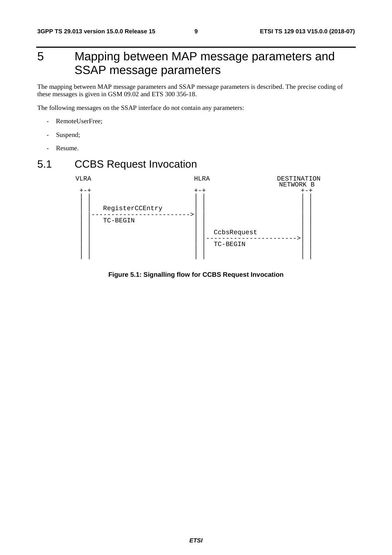# 5 Mapping between MAP message parameters and SSAP message parameters

The mapping between MAP message parameters and SSAP message parameters is described. The precise coding of these messages is given in GSM 09.02 and ETS 300 356-18.

The following messages on the SSAP interface do not contain any parameters:

- RemoteUserFree;
- Suspend;
- Resume.

# 5.1 CCBS Request Invocation



**Figure 5.1: Signalling flow for CCBS Request Invocation**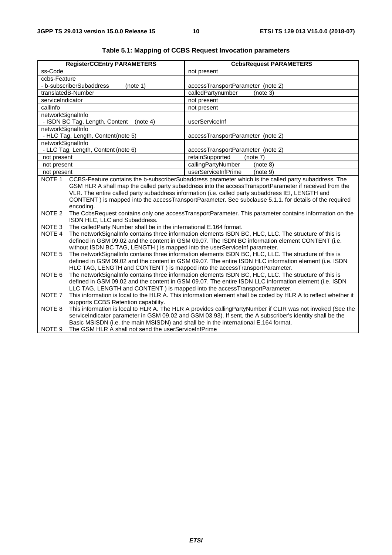|                                                                                                                                                                                                                                                                                                                                                                                                                                                                 | <b>RegisterCCEntry PARAMETERS</b>                                                                                                                                                                                                                                                                                                                                      | <b>CcbsRequest PARAMETERS</b>     |  |
|-----------------------------------------------------------------------------------------------------------------------------------------------------------------------------------------------------------------------------------------------------------------------------------------------------------------------------------------------------------------------------------------------------------------------------------------------------------------|------------------------------------------------------------------------------------------------------------------------------------------------------------------------------------------------------------------------------------------------------------------------------------------------------------------------------------------------------------------------|-----------------------------------|--|
| ss-Code                                                                                                                                                                                                                                                                                                                                                                                                                                                         |                                                                                                                                                                                                                                                                                                                                                                        | not present                       |  |
| ccbs-Feature                                                                                                                                                                                                                                                                                                                                                                                                                                                    |                                                                                                                                                                                                                                                                                                                                                                        |                                   |  |
|                                                                                                                                                                                                                                                                                                                                                                                                                                                                 | - b-subscriberSubaddress<br>(note 1)                                                                                                                                                                                                                                                                                                                                   | accessTransportParameter (note 2) |  |
|                                                                                                                                                                                                                                                                                                                                                                                                                                                                 | translatedB-Number                                                                                                                                                                                                                                                                                                                                                     | calledPartynumber<br>(note 3)     |  |
| serviceIndicator                                                                                                                                                                                                                                                                                                                                                                                                                                                |                                                                                                                                                                                                                                                                                                                                                                        | not present                       |  |
| callInfo                                                                                                                                                                                                                                                                                                                                                                                                                                                        |                                                                                                                                                                                                                                                                                                                                                                        | not present                       |  |
| networkSignalInfo                                                                                                                                                                                                                                                                                                                                                                                                                                               |                                                                                                                                                                                                                                                                                                                                                                        |                                   |  |
|                                                                                                                                                                                                                                                                                                                                                                                                                                                                 | - ISDN BC Tag, Length, Content<br>(note 4)                                                                                                                                                                                                                                                                                                                             | userServiceInf                    |  |
| networkSignalInfo                                                                                                                                                                                                                                                                                                                                                                                                                                               |                                                                                                                                                                                                                                                                                                                                                                        |                                   |  |
|                                                                                                                                                                                                                                                                                                                                                                                                                                                                 | - HLC Tag, Length, Content(note 5)                                                                                                                                                                                                                                                                                                                                     | accessTransportParameter (note 2) |  |
| networkSignalInfo                                                                                                                                                                                                                                                                                                                                                                                                                                               |                                                                                                                                                                                                                                                                                                                                                                        |                                   |  |
|                                                                                                                                                                                                                                                                                                                                                                                                                                                                 | - LLC Tag, Length, Content (note 6)                                                                                                                                                                                                                                                                                                                                    | accessTransportParameter (note 2) |  |
| not present                                                                                                                                                                                                                                                                                                                                                                                                                                                     |                                                                                                                                                                                                                                                                                                                                                                        | retainSupported<br>(note 7)       |  |
| not present                                                                                                                                                                                                                                                                                                                                                                                                                                                     |                                                                                                                                                                                                                                                                                                                                                                        | callingPartyNumber<br>(note 8)    |  |
| not present                                                                                                                                                                                                                                                                                                                                                                                                                                                     |                                                                                                                                                                                                                                                                                                                                                                        | userServiceInfPrime<br>(note 9)   |  |
| NOTE <sub>1</sub><br>CCBS-Feature contains the b-subscriberSubaddress parameter which is the called party subaddress. The<br>GSM HLR A shall map the called party subaddress into the accessTransportParameter if received from the<br>VLR. The entire called party subaddress information (i.e. called party subaddress IEI, LENGTH and<br>CONTENT) is mapped into the accessTransportParameter. See subclause 5.1.1. for details of the required<br>encoding. |                                                                                                                                                                                                                                                                                                                                                                        |                                   |  |
| NOTE <sub>2</sub>                                                                                                                                                                                                                                                                                                                                                                                                                                               | The CcbsRequest contains only one accessTransportParameter. This parameter contains information on the<br>ISDN HLC, LLC and Subaddress.                                                                                                                                                                                                                                |                                   |  |
| NOTE 3                                                                                                                                                                                                                                                                                                                                                                                                                                                          | The called Party Number shall be in the international E.164 format.                                                                                                                                                                                                                                                                                                    |                                   |  |
| NOTE 4                                                                                                                                                                                                                                                                                                                                                                                                                                                          | The networkSignalInfo contains three information elements ISDN BC, HLC, LLC. The structure of this is<br>defined in GSM 09.02 and the content in GSM 09.07. The ISDN BC information element CONTENT (i.e.<br>without ISDN BC TAG, LENGTH) is mapped into the userServiceInf parameter.                                                                                 |                                   |  |
| The networkSignalInfo contains three information elements ISDN BC, HLC, LLC. The structure of this is<br>NOTE <sub>5</sub><br>defined in GSM 09.02 and the content in GSM 09.07. The entire ISDN HLC information element (i.e. ISDN<br>HLC TAG, LENGTH and CONTENT) is mapped into the accessTransportParameter.                                                                                                                                                |                                                                                                                                                                                                                                                                                                                                                                        |                                   |  |
| NOTE 6<br>The networkSignalInfo contains three information elements ISDN BC, HLC, LLC. The structure of this is<br>defined in GSM 09.02 and the content in GSM 09.07. The entire ISDN LLC information element (i.e. ISDN<br>LLC TAG, LENGTH and CONTENT) is mapped into the accessTransportParameter.                                                                                                                                                           |                                                                                                                                                                                                                                                                                                                                                                        |                                   |  |
| NOTE 7                                                                                                                                                                                                                                                                                                                                                                                                                                                          | This information is local to the HLR A. This information element shall be coded by HLR A to reflect whether it<br>supports CCBS Retention capability.                                                                                                                                                                                                                  |                                   |  |
| NOTE 8<br>NOTE <sub>9</sub>                                                                                                                                                                                                                                                                                                                                                                                                                                     | This information is local to HLR A. The HLR A provides callingPartyNumber if CLIR was not invoked (See the<br>serviceIndicator parameter in GSM 09.02 and GSM 03.93). If sent, the A subscriber's identity shall be the<br>Basic MSISDN (i.e. the main MSISDN) and shall be in the international E.164 format.<br>The GSM HLR A shall not send the userServiceInfPrime |                                   |  |

### **Table 5.1: Mapping of CCBS Request Invocation parameters**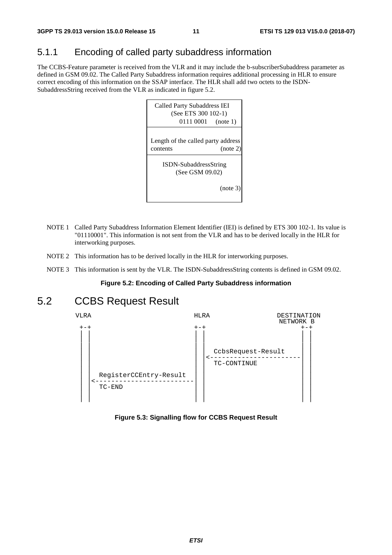### 5.1.1 Encoding of called party subaddress information

The CCBS-Feature parameter is received from the VLR and it may include the b-subscriberSubaddress parameter as defined in GSM 09.02. The Called Party Subaddress information requires additional processing in HLR to ensure correct encoding of this information on the SSAP interface. The HLR shall add two octets to the ISDN-SubaddressString received from the VLR as indicated in figure 5.2.



- NOTE 1 Called Party Subaddress Information Element Identifier (IEI) is defined by ETS 300 102-1. Its value is "01110001". This information is not sent from the VLR and has to be derived locally in the HLR for interworking purposes.
- NOTE 2 This information has to be derived locally in the HLR for interworking purposes.
- NOTE 3 This information is sent by the VLR. The ISDN-SubaddressString contents is defined in GSM 09.02.

#### **Figure 5.2: Encoding of Called Party Subaddress information**

## 5.2 CCBS Request Result



**Figure 5.3: Signalling flow for CCBS Request Result**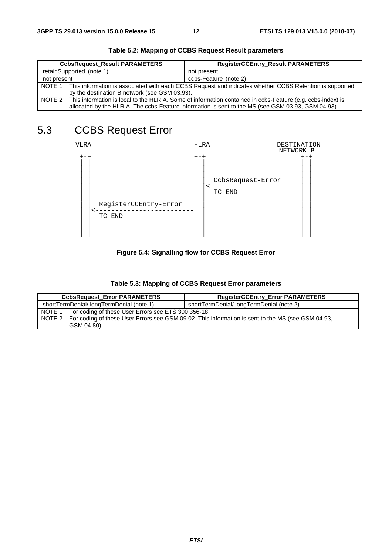| <b>CcbsRequest_Result PARAMETERS</b> |                                                                                                                   | <b>RegisterCCEntry_Result PARAMETERS</b> |
|--------------------------------------|-------------------------------------------------------------------------------------------------------------------|------------------------------------------|
|                                      | retainSupported (note 1)                                                                                          | not present                              |
| not present                          |                                                                                                                   | ccbs-Feature (note 2)                    |
|                                      | NOTE 1 This information is associated with each CCBS Request and indicates whether CCBS Retention is supported    |                                          |
|                                      | by the destination B network (see GSM 03.93).                                                                     |                                          |
|                                      | NOTE 2 This information is local to the HLR A. Some of information contained in ccbs-Feature (e.g. ccbs-index) is |                                          |
|                                      | allocated by the HLR A. The ccbs-Feature information is sent to the MS (see GSM 03.93, GSM 04.93).                |                                          |

**Table 5.2: Mapping of CCBS Request Result parameters** 

# 5.3 CCBS Request Error



**Figure 5.4: Signalling flow for CCBS Request Error** 

| Table 5.3: Mapping of CCBS Request Error parameters |  |
|-----------------------------------------------------|--|
|-----------------------------------------------------|--|

| <b>CcbsRequest Error PARAMETERS</b>                        | <b>RegisterCCEntry_Error PARAMETERS</b>                                                           |
|------------------------------------------------------------|---------------------------------------------------------------------------------------------------|
| shortTermDenial/longTermDenial (note 1)                    | shortTermDenial/longTermDenial (note 2)                                                           |
| NOTE 1 For coding of these User Errors see ETS 300 356-18. |                                                                                                   |
| NOTE 2                                                     | For coding of these User Errors see GSM 09.02. This information is sent to the MS (see GSM 04.93, |
| GSM 04.80).                                                |                                                                                                   |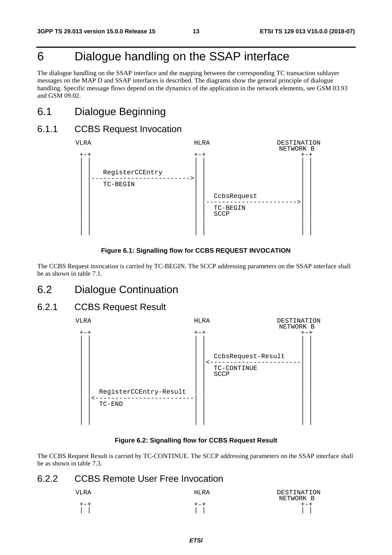# 6 Dialogue handling on the SSAP interface

The dialogue handling on the SSAP interface and the mapping between the corresponding TC transaction sublayer messages on the MAP D and SSAP interfaces is described. The diagrams show the general principle of dialogue handling. Specific message flows depend on the dynamics of the application in the network elements, see GSM 03.93 and GSM 09.02.

### 6.1 Dialogue Beginning

### 6.1.1 CCBS Request Invocation



#### **Figure 6.1: Signalling flow for CCBS REQUEST INVOCATION**

The CCBS Request invocation is carried by TC-BEGIN. The SCCP addressing parameters on the SSAP interface shall be as shown in table 7.1.

### 6.2 Dialogue Continuation

### 6.2.1 CCBS Request Result



#### **Figure 6.2: Signalling flow for CCBS Request Result**

The CCBS Request Result is carried by TC-CONTINUE. The SCCP addressing parameters on the SSAP interface shall be as shown in table 7.3.

### 6.2.2 CCBS Remote User Free Invocation

| VLRA | HLRA    | DESTINATION<br>NETWORK B |
|------|---------|--------------------------|
| +-+  | $+ - +$ | $+ - +$                  |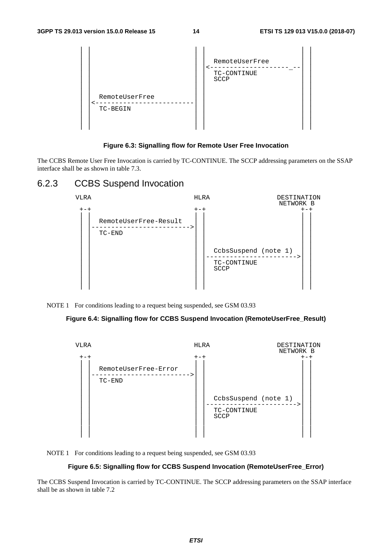| RemoteUserFree<br>TC-BEGIN | RemoteUserFree<br>TC-CONTINUE<br>SCCP |  |
|----------------------------|---------------------------------------|--|
|                            |                                       |  |

#### **Figure 6.3: Signalling flow for Remote User Free Invocation**

The CCBS Remote User Free Invocation is carried by TC-CONTINUE. The SCCP addressing parameters on the SSAP interface shall be as shown in table 7.3.

### 6.2.3 CCBS Suspend Invocation



NOTE 1 For conditions leading to a request being suspended, see GSM 03.93

#### **Figure 6.4: Signalling flow for CCBS Suspend Invocation (RemoteUserFree\_Result)**



NOTE 1 For conditions leading to a request being suspended, see GSM 03.93

#### **Figure 6.5: Signalling flow for CCBS Suspend Invocation (RemoteUserFree\_Error)**

The CCBS Suspend Invocation is carried by TC-CONTINUE. The SCCP addressing parameters on the SSAP interface shall be as shown in table 7.2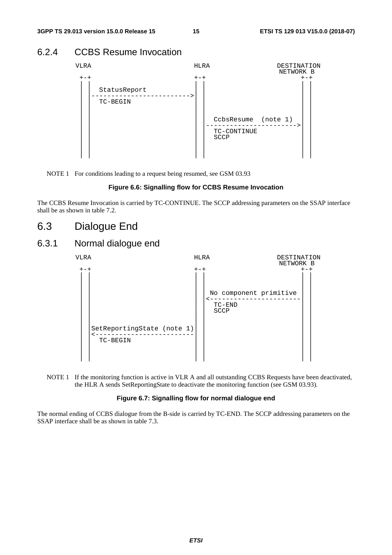### 6.2.4 CCBS Resume Invocation



NOTE 1 For conditions leading to a request being resumed, see GSM 03.93

#### **Figure 6.6: Signalling flow for CCBS Resume Invocation**

The CCBS Resume Invocation is carried by TC-CONTINUE. The SCCP addressing parameters on the SSAP interface shall be as shown in table 7.2.

6.3 Dialogue End

### 6.3.1 Normal dialogue end



NOTE 1 If the monitoring function is active in VLR A and all outstanding CCBS Requests have been deactivated, the HLR A sends SetReportingState to deactivate the monitoring function (see GSM 03.93).

#### **Figure 6.7: Signalling flow for normal dialogue end**

The normal ending of CCBS dialogue from the B-side is carried by TC-END. The SCCP addressing parameters on the SSAP interface shall be as shown in table 7.3.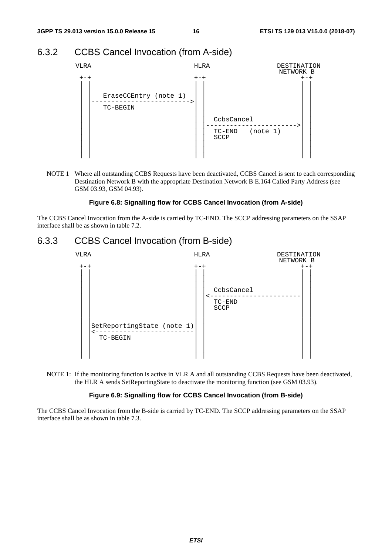### 6.3.2 CCBS Cancel Invocation (from A-side)



NOTE 1 Where all outstanding CCBS Requests have been deactivated, CCBS Cancel is sent to each corresponding Destination Network B with the appropriate Destination Network B E.164 Called Party Address (see GSM 03.93, GSM 04.93).

#### **Figure 6.8: Signalling flow for CCBS Cancel Invocation (from A-side)**

The CCBS Cancel Invocation from the A-side is carried by TC-END. The SCCP addressing parameters on the SSAP interface shall be as shown in table 7.2.

### 6.3.3 CCBS Cancel Invocation (from B-side)



NOTE 1: If the monitoring function is active in VLR A and all outstanding CCBS Requests have been deactivated, the HLR A sends SetReportingState to deactivate the monitoring function (see GSM 03.93).

#### **Figure 6.9: Signalling flow for CCBS Cancel Invocation (from B-side)**

The CCBS Cancel Invocation from the B-side is carried by TC-END. The SCCP addressing parameters on the SSAP interface shall be as shown in table 7.3.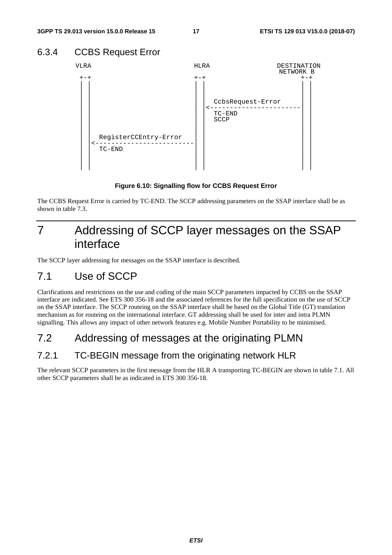### 6.3.4 CCBS Request Error



**Figure 6.10: Signalling flow for CCBS Request Error** 

The CCBS Request Error is carried by TC-END. The SCCP addressing parameters on the SSAP interface shall be as shown in table 7.3.

# 7 Addressing of SCCP layer messages on the SSAP interface

The SCCP layer addressing for messages on the SSAP interface is described.

# 7.1 Use of SCCP

Clarifications and restrictions on the use and coding of the main SCCP parameters impacted by CCBS on the SSAP interface are indicated. See ETS 300 356-18 and the associated references for the full specification on the use of SCCP on the SSAP interface. The SCCP routeing on the SSAP interface shall be based on the Global Title (GT) translation mechanism as for routeing on the international interface. GT addressing shall be used for inter and intra PLMN signalling. This allows any impact of other network features e.g. Mobile Number Portability to be minimised.

# 7.2 Addressing of messages at the originating PLMN

### 7.2.1 TC-BEGIN message from the originating network HLR

The relevant SCCP parameters in the first message from the HLR A transporting TC-BEGIN are shown in table 7.1. All other SCCP parameters shall be as indicated in ETS 300 356-18.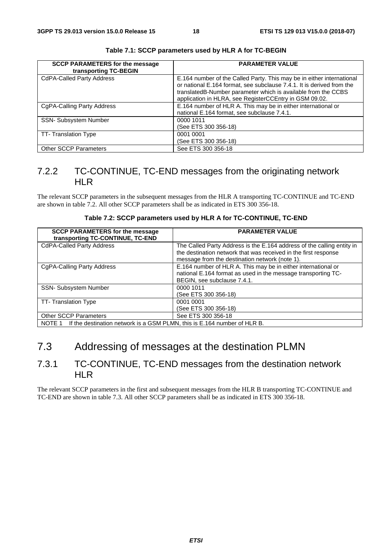| <b>SCCP PARAMETERS for the message</b><br>transporting TC-BEGIN | <b>PARAMETER VALUE</b>                                                                                                                                                                                                                                                    |
|-----------------------------------------------------------------|---------------------------------------------------------------------------------------------------------------------------------------------------------------------------------------------------------------------------------------------------------------------------|
| <b>CdPA-Called Party Address</b>                                | E.164 number of the Called Party. This may be in either international<br>or national E.164 format, see subclause 7.4.1. It is derived from the<br>translatedB-Number parameter which is available from the CCBS<br>application in HLRA, see RegisterCCEntry in GSM 09.02. |
| CgPA-Calling Party Address                                      | E.164 number of HLR A. This may be in either international or<br>national E.164 format, see subclause 7.4.1.                                                                                                                                                              |
| SSN- Subsystem Number                                           | 0000 1011<br>(See ETS 300 356-18)                                                                                                                                                                                                                                         |
| TT-Translation Type                                             | 0001 0001<br>(See ETS 300 356-18)                                                                                                                                                                                                                                         |
| <b>Other SCCP Parameters</b>                                    | See ETS 300 356-18                                                                                                                                                                                                                                                        |

**Table 7.1: SCCP parameters used by HLR A for TC-BEGIN** 

### 7.2.2 TC-CONTINUE, TC-END messages from the originating network HLR

The relevant SCCP parameters in the subsequent messages from the HLR A transporting TC-CONTINUE and TC-END are shown in table 7.2. All other SCCP parameters shall be as indicated in ETS 300 356-18.

|  |  | Table 7.2: SCCP parameters used by HLR A for TC-CONTINUE, TC-END |  |
|--|--|------------------------------------------------------------------|--|
|--|--|------------------------------------------------------------------|--|

| <b>SCCP PARAMETERS for the message</b><br>transporting TC-CONTINUE, TC-END      | <b>PARAMETER VALUE</b>                                                                                                                                                                      |  |
|---------------------------------------------------------------------------------|---------------------------------------------------------------------------------------------------------------------------------------------------------------------------------------------|--|
| <b>CdPA-Called Party Address</b>                                                | The Called Party Address is the E.164 address of the calling entity in<br>the destination network that was received in the first response<br>message from the destination network (note 1). |  |
| CgPA-Calling Party Address                                                      | E.164 number of HLR A. This may be in either international or<br>national E.164 format as used in the message transporting TC-<br>BEGIN, see subclause 7.4.1.                               |  |
| <b>SSN- Subsystem Number</b>                                                    | 0000 1011<br>(See ETS 300 356-18)                                                                                                                                                           |  |
| TT-Translation Type                                                             | 0001 0001<br>(See ETS 300 356-18)                                                                                                                                                           |  |
| <b>Other SCCP Parameters</b>                                                    | See ETS 300 356-18                                                                                                                                                                          |  |
| NOTE 1 If the destination network is a GSM PLMN, this is E.164 number of HLR B. |                                                                                                                                                                                             |  |

# 7.3 Addressing of messages at the destination PLMN

### 7.3.1 TC-CONTINUE, TC-END messages from the destination network HLR

The relevant SCCP parameters in the first and subsequent messages from the HLR B transporting TC-CONTINUE and TC-END are shown in table 7.3. All other SCCP parameters shall be as indicated in ETS 300 356-18.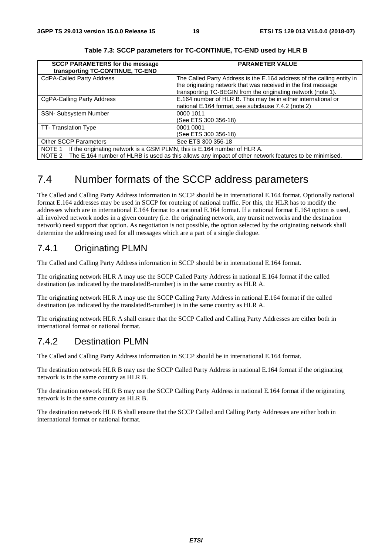| <b>SCCP PARAMETERS for the message</b><br>transporting TC-CONTINUE, TC-END         | <b>PARAMETER VALUE</b>                                                 |  |  |  |
|------------------------------------------------------------------------------------|------------------------------------------------------------------------|--|--|--|
| <b>CdPA-Called Party Address</b>                                                   | The Called Party Address is the E.164 address of the calling entity in |  |  |  |
|                                                                                    | the originating network that was received in the first message         |  |  |  |
|                                                                                    | transporting TC-BEGIN from the originating network (note 1).           |  |  |  |
| CgPA-Calling Party Address                                                         | E.164 number of HLR B. This may be in either international or          |  |  |  |
|                                                                                    | national E.164 format, see subclause 7.4.2 (note 2)                    |  |  |  |
| SSN- Subsystem Number                                                              | 0000 1011                                                              |  |  |  |
|                                                                                    | (See ETS 300 356-18)                                                   |  |  |  |
| TT-Translation Type                                                                | 0001 0001                                                              |  |  |  |
|                                                                                    | (See ETS 300 356-18)                                                   |  |  |  |
| <b>Other SCCP Parameters</b>                                                       | See ETS 300 356-18                                                     |  |  |  |
| If the originating network is a GSM PLMN, this is E.164 number of HLR A.<br>NOTE 1 |                                                                        |  |  |  |

**Table 7.3: SCCP parameters for TC-CONTINUE, TC-END used by HLR B** 

NOTE 2 The E.164 number of HLRB is used as this allows any impact of other network features to be minimised.

# 7.4 Number formats of the SCCP address parameters

The Called and Calling Party Address information in SCCP should be in international E.164 format. Optionally national format E.164 addresses may be used in SCCP for routeing of national traffic. For this, the HLR has to modify the addresses which are in international E.164 format to a national E.164 format. If a national format E.164 option is used, all involved network nodes in a given country (i.e. the originating network, any transit networks and the destination network) need support that option. As negotiation is not possible, the option selected by the originating network shall determine the addressing used for all messages which are a part of a single dialogue.

### 7.4.1 Originating PLMN

The Called and Calling Party Address information in SCCP should be in international E.164 format.

The originating network HLR A may use the SCCP Called Party Address in national E.164 format if the called destination (as indicated by the translatedB-number) is in the same country as HLR A.

The originating network HLR A may use the SCCP Calling Party Address in national E.164 format if the called destination (as indicated by the translatedB-number) is in the same country as HLR A.

The originating network HLR A shall ensure that the SCCP Called and Calling Party Addresses are either both in international format or national format.

### 7.4.2 Destination PLMN

The Called and Calling Party Address information in SCCP should be in international E.164 format.

The destination network HLR B may use the SCCP Called Party Address in national E.164 format if the originating network is in the same country as HLR B.

The destination network HLR B may use the SCCP Calling Party Address in national E.164 format if the originating network is in the same country as HLR B.

The destination network HLR B shall ensure that the SCCP Called and Calling Party Addresses are either both in international format or national format.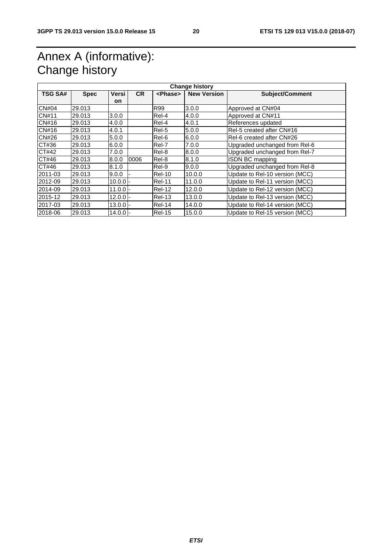# Annex A (informative): Change history

| <b>Change history</b> |             |            |           |                 |                    |                                |  |  |
|-----------------------|-------------|------------|-----------|-----------------|--------------------|--------------------------------|--|--|
| <b>TSG SA#</b>        | <b>Spec</b> | Versi      | <b>CR</b> | <phase></phase> | <b>New Version</b> | <b>Subject/Comment</b>         |  |  |
|                       |             | on.        |           |                 |                    |                                |  |  |
| <b>CN#04</b>          | 29.013      |            |           | R99             | 3.0.0              | Approved at CN#04              |  |  |
| <b>CN#11</b>          | 29.013      | 3.0.0      |           | Rel-4           | 4.0.0              | Approved at CN#11              |  |  |
| CN#16                 | 29.013      | 4.0.0      |           | Rel-4           | 4.0.1              | References updated             |  |  |
| CN#16                 | 29.013      | 4.0.1      |           | Rel-5           | 5.0.0              | Rel-5 created after CN#16      |  |  |
| CN#26                 | 29.013      | 5.0.0      |           | Rel-6           | 6.0.0              | Rel-6 created after CN#26      |  |  |
| CT#36                 | 29.013      | 6.0.0      |           | Rel-7           | 7.0.0              | Upgraded unchanged from Rel-6  |  |  |
| CT#42                 | 29.013      | 7.0.0      |           | Rel-8           | 8.0.0              | Upgraded unchanged from Rel-7  |  |  |
| CT#46                 | 29.013      | 8.0.0      | 0006      | Rel-8           | 8.1.0              | ISDN BC mapping                |  |  |
| CT#46                 | 29.013      | 8.1.0      |           | Rel-9           | 9.0.0              | Upgraded unchanged from Rel-8  |  |  |
| 2011-03               | 29.013      | 9.0.0      |           | <b>Rel-10</b>   | 10.0.0             | Update to Rel-10 version (MCC) |  |  |
| 2012-09               | 29.013      | $10.0.0$ - |           | <b>Rel-11</b>   | 11.0.0             | Update to Rel-11 version (MCC) |  |  |
| 2014-09               | 29.013      | $11.0.0 -$ |           | <b>Rel-12</b>   | 12.0.0             | Update to Rel-12 version (MCC) |  |  |
| 2015-12               | 29.013      | $12.0.0$ - |           | <b>Rel-13</b>   | 13.0.0             | Update to Rel-13 version (MCC) |  |  |
| 2017-03               | 29.013      | $13.0.0 -$ |           | $ReI-14$        | 14.0.0             | Update to Rel-14 version (MCC) |  |  |
| 2018-06               | 29.013      | $14.0.0 -$ |           | <b>Rel-15</b>   | 15.0.0             | Update to Rel-15 version (MCC) |  |  |